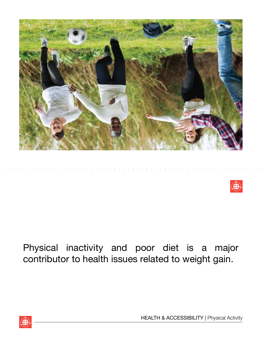



# Physical inactivity and poor diet is a major contributor to health issues related to weight gain.



HEALTH & ACCESSIBILITY | Physical Activity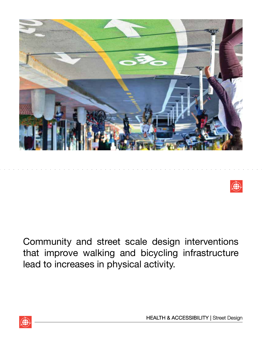



Community and street scale design interventions that improve walking and bicycling infrastructure lead to increases in physical activity.

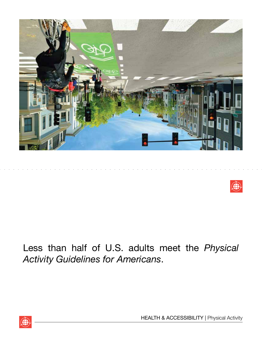



### Less than half of U.S. adults meet the *Physical Activity Guidelines for Americans*.

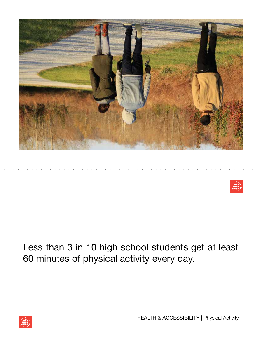



# Less than 3 in 10 high school students get at least 60 minutes of physical activity every day.



HEALTH & ACCESSIBILITY | Physical Activity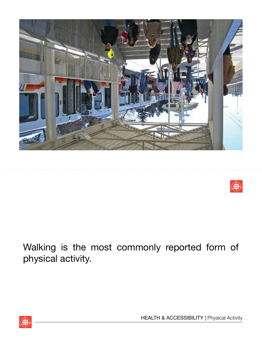



# Walking is the most commonly reported form of physical activity.



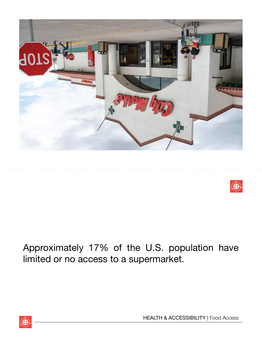



# Approximately 17% of the U.S. population have limited or no access to a supermarket.



HEALTH & ACCESSIBILITY | Food Access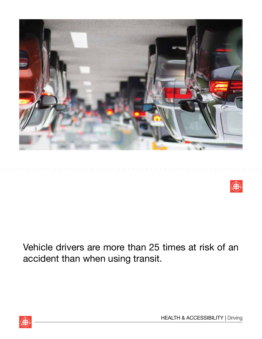



Vehicle drivers are more than 25 times at risk of an accident than when using transit.

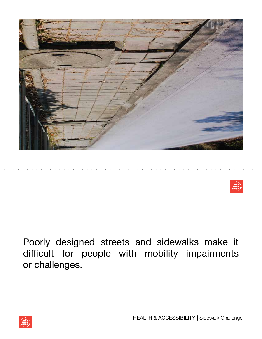



Poorly designed streets and sidewalks make it difficult for people with mobility impairments or challenges.



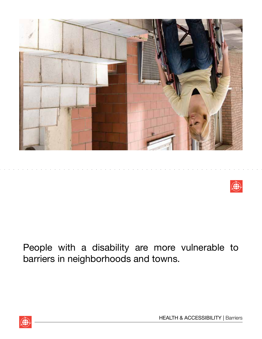



# People with a disability are more vulnerable to barriers in neighborhoods and towns.

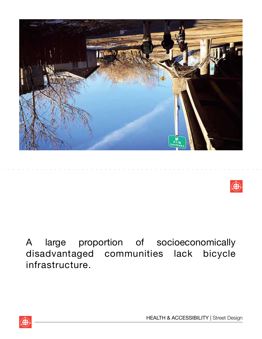



A large proportion of socioeconomically disadvantaged communities lack bicycle infrastructure.

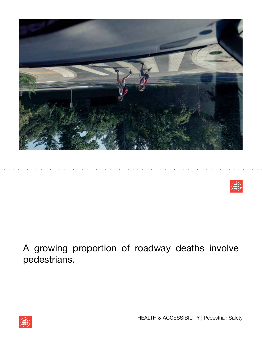



A growing proportion of roadway deaths involve pedestrians.



HEALTH & ACCESSIBILITY | Pedestrian Safety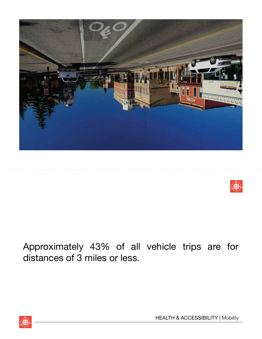



### Approximately 43% of all vehicle trips are for distances of 3 miles or less.